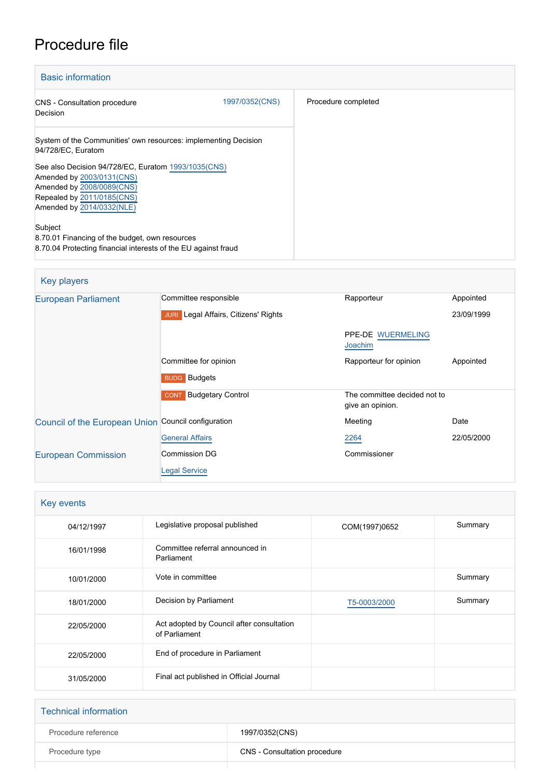# Procedure file

| <b>Basic information</b>                                                                                                    |                |                     |
|-----------------------------------------------------------------------------------------------------------------------------|----------------|---------------------|
| CNS - Consultation procedure<br>Decision                                                                                    | 1997/0352(CNS) | Procedure completed |
| System of the Communities' own resources: implementing Decision<br>94/728/EC, Euratom                                       |                |                     |
| See also Decision 94/728/EC, Euratom 1993/1035(CNS)<br>Amended by 2003/0131(CNS)<br>Amended by 2008/0089(CNS)               |                |                     |
| Repealed by 2011/0185(CNS)<br>Amended by 2014/0332(NLE)                                                                     |                |                     |
| Subject<br>8.70.01 Financing of the budget, own resources<br>8.70.04 Protecting financial interests of the EU against fraud |                |                     |

| Key players                                         |                                                |                                                  |            |
|-----------------------------------------------------|------------------------------------------------|--------------------------------------------------|------------|
| <b>European Parliament</b>                          | Committee responsible                          | Rapporteur                                       | Appointed  |
|                                                     | Legal Affairs, Citizens' Rights<br><b>JURI</b> |                                                  | 23/09/1999 |
|                                                     |                                                | PPE-DE WUERMELING<br>Joachim                     |            |
|                                                     | Committee for opinion                          | Rapporteur for opinion                           | Appointed  |
|                                                     | <b>BUDG</b> Budgets                            |                                                  |            |
|                                                     | <b>Budgetary Control</b><br><b>CONT</b>        | The committee decided not to<br>give an opinion. |            |
| Council of the European Union Council configuration |                                                | Meeting                                          | Date       |
|                                                     | <b>General Affairs</b>                         | 2264                                             | 22/05/2000 |
| <b>European Commission</b>                          | Commission DG                                  | Commissioner                                     |            |
|                                                     | <b>Legal Service</b>                           |                                                  |            |

| Key events |                                                            |               |         |
|------------|------------------------------------------------------------|---------------|---------|
| 04/12/1997 | Legislative proposal published                             | COM(1997)0652 | Summary |
| 16/01/1998 | Committee referral announced in<br>Parliament              |               |         |
| 10/01/2000 | Vote in committee                                          |               | Summary |
| 18/01/2000 | Decision by Parliament                                     | T5-0003/2000  | Summary |
| 22/05/2000 | Act adopted by Council after consultation<br>of Parliament |               |         |
| 22/05/2000 | End of procedure in Parliament                             |               |         |
| 31/05/2000 | Final act published in Official Journal                    |               |         |

| <b>Technical information</b> |                              |
|------------------------------|------------------------------|
| Procedure reference          | 1997/0352(CNS)               |
| Procedure type               | CNS - Consultation procedure |
|                              |                              |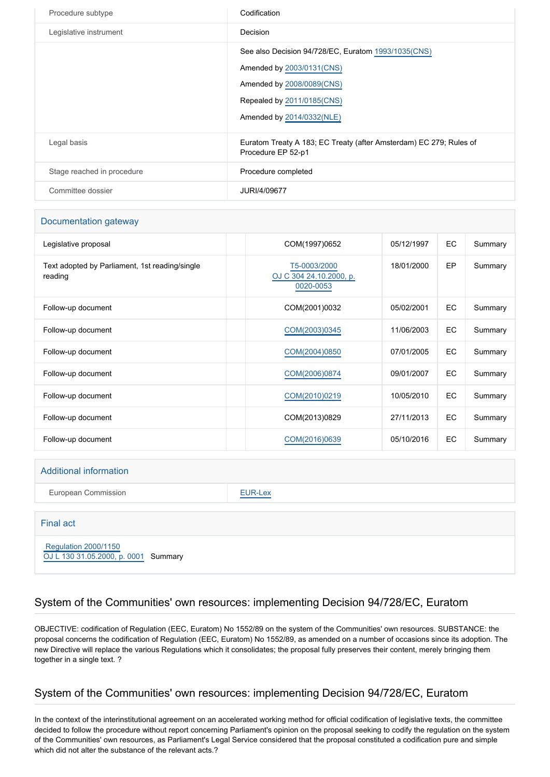| Procedure subtype          | Codification                                                                                                                                                             |
|----------------------------|--------------------------------------------------------------------------------------------------------------------------------------------------------------------------|
| Legislative instrument     | Decision                                                                                                                                                                 |
|                            | See also Decision 94/728/EC, Euratom 1993/1035(CNS)<br>Amended by 2003/0131(CNS)<br>Amended by 2008/0089(CNS)<br>Repealed by 2011/0185(CNS)<br>Amended by 2014/0332(NLE) |
| Legal basis                | Euratom Treaty A 183; EC Treaty (after Amsterdam) EC 279; Rules of<br>Procedure EP 52-p1                                                                                 |
| Stage reached in procedure | Procedure completed                                                                                                                                                      |
| Committee dossier          | JURI/4/09677                                                                                                                                                             |

#### Documentation gateway

| Legislative proposal                                      | COM(1997)0652                                        | 05/12/1997 | EC        | Summary |
|-----------------------------------------------------------|------------------------------------------------------|------------|-----------|---------|
| Text adopted by Parliament, 1st reading/single<br>reading | T5-0003/2000<br>OJ C 304 24.10.2000, p.<br>0020-0053 | 18/01/2000 | EP        | Summary |
| Follow-up document                                        | COM(2001)0032                                        | 05/02/2001 | EC        | Summary |
| Follow-up document                                        | COM(2003)0345                                        | 11/06/2003 | EC        | Summary |
| Follow-up document                                        | COM(2004)0850                                        | 07/01/2005 | <b>EC</b> | Summary |
| Follow-up document                                        | COM(2006)0874                                        | 09/01/2007 | EC        | Summary |
| Follow-up document                                        | COM(2010)0219                                        | 10/05/2010 | EC        | Summary |
| Follow-up document                                        | COM(2013)0829                                        | 27/11/2013 | EC        | Summary |
| Follow-up document                                        | COM(2016)0639                                        | 05/10/2016 | EC        | Summary |

#### Additional information

European Commission **[EUR-Lex](http://ec.europa.eu/prelex/liste_resultats.cfm?CL=en&ReqId=0&DocType=CNS&DocYear=1997&DocNum=0352)** 

# Final act  [Regulation 2000/1150](https://eur-lex.europa.eu/smartapi/cgi/sga_doc?smartapi!celexplus!prod!CELEXnumdoc&lg=EN&numdoc=32000R1150)

[OJ L 130 31.05.2000, p. 0001](https://eur-lex.europa.eu/legal-content/EN/TXT/?uri=OJ:L:2000:130:TOC) Summary

## System of the Communities' own resources: implementing Decision 94/728/EC, Euratom

OBJECTIVE: codification of Regulation (EEC, Euratom) No 1552/89 on the system of the Communities' own resources. SUBSTANCE: the proposal concerns the codification of Regulation (EEC, Euratom) No 1552/89, as amended on a number of occasions since its adoption. The new Directive will replace the various Regulations which it consolidates; the proposal fully preserves their content, merely bringing them together in a single text. ?

## System of the Communities' own resources: implementing Decision 94/728/EC, Euratom

In the context of the interinstitutional agreement on an accelerated working method for official codification of legislative texts, the committee decided to follow the procedure without report concerning Parliament's opinion on the proposal seeking to codify the regulation on the system of the Communities' own resources, as Parliament's Legal Service considered that the proposal constituted a codification pure and simple which did not alter the substance of the relevant acts.?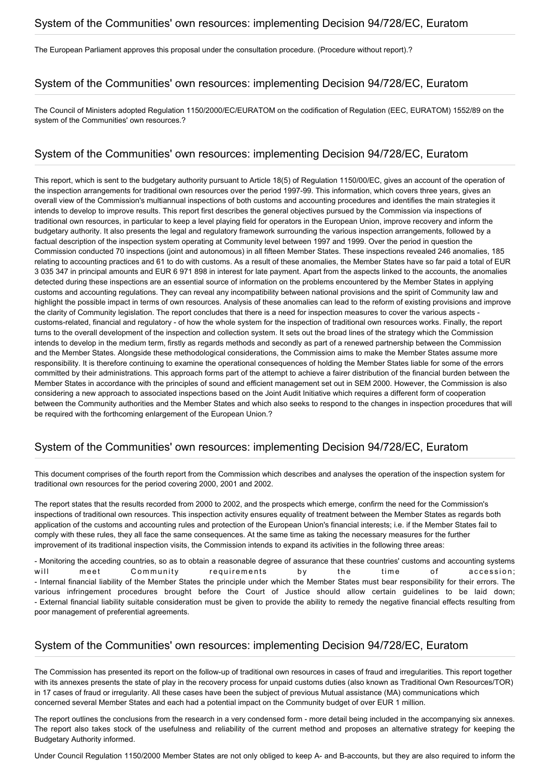## System of the Communities' own resources: implementing Decision 94/728/EC, Euratom

The European Parliament approves this proposal under the consultation procedure. (Procedure without report).?

#### System of the Communities' own resources: implementing Decision 94/728/EC, Euratom

The Council of Ministers adopted Regulation 1150/2000/EC/EURATOM on the codification of Regulation (EEC, EURATOM) 1552/89 on the system of the Communities' own resources.?

#### System of the Communities' own resources: implementing Decision 94/728/EC, Euratom

This report, which is sent to the budgetary authority pursuant to Article 18(5) of Regulation 1150/00/EC, gives an account of the operation of the inspection arrangements for traditional own resources over the period 1997-99. This information, which covers three years, gives an overall view of the Commission's multiannual inspections of both customs and accounting procedures and identifies the main strategies it intends to develop to improve results. This report first describes the general objectives pursued by the Commission via inspections of traditional own resources, in particular to keep a level playing field for operators in the European Union, improve recovery and inform the budgetary authority. It also presents the legal and regulatory framework surrounding the various inspection arrangements, followed by a factual description of the inspection system operating at Community level between 1997 and 1999. Over the period in question the Commission conducted 70 inspections (joint and autonomous) in all fifteen Member States. These inspections revealed 246 anomalies, 185 relating to accounting practices and 61 to do with customs. As a result of these anomalies, the Member States have so far paid a total of EUR 3 035 347 in principal amounts and EUR 6 971 898 in interest for late payment. Apart from the aspects linked to the accounts, the anomalies detected during these inspections are an essential source of information on the problems encountered by the Member States in applying customs and accounting regulations. They can reveal any incompatibility between national provisions and the spirit of Community law and highlight the possible impact in terms of own resources. Analysis of these anomalies can lead to the reform of existing provisions and improve the clarity of Community legislation. The report concludes that there is a need for inspection measures to cover the various aspects customs-related, financial and regulatory - of how the whole system for the inspection of traditional own resources works. Finally, the report turns to the overall development of the inspection and collection system. It sets out the broad lines of the strategy which the Commission intends to develop in the medium term, firstly as regards methods and secondly as part of a renewed partnership between the Commission and the Member States. Alongside these methodological considerations, the Commission aims to make the Member States assume more responsibility. It is therefore continuing to examine the operational consequences of holding the Member States liable for some of the errors committed by their administrations. This approach forms part of the attempt to achieve a fairer distribution of the financial burden between the Member States in accordance with the principles of sound and efficient management set out in SEM 2000. However, the Commission is also considering a new approach to associated inspections based on the Joint Audit Initiative which requires a different form of cooperation between the Community authorities and the Member States and which also seeks to respond to the changes in inspection procedures that will be required with the forthcoming enlargement of the European Union.?

#### System of the Communities' own resources: implementing Decision 94/728/EC, Euratom

This document comprises of the fourth report from the Commission which describes and analyses the operation of the inspection system for traditional own resources for the period covering 2000, 2001 and 2002.

The report states that the results recorded from 2000 to 2002, and the prospects which emerge, confirm the need for the Commission's inspections of traditional own resources. This inspection activity ensures equality of treatment between the Member States as regards both application of the customs and accounting rules and protection of the European Union's financial interests; i.e. if the Member States fail to comply with these rules, they all face the same consequences. At the same time as taking the necessary measures for the further improvement of its traditional inspection visits, the Commission intends to expand its activities in the following three areas:

- Monitoring the acceding countries, so as to obtain a reasonable degree of assurance that these countries' customs and accounting systems will meet Community requirements by the time of accession; - Internal financial liability of the Member States the principle under which the Member States must bear responsibility for their errors. The various infringement procedures brought before the Court of Justice should allow certain guidelines to be laid down; - External financial liability suitable consideration must be given to provide the ability to remedy the negative financial effects resulting from poor management of preferential agreements.

#### System of the Communities' own resources: implementing Decision 94/728/EC, Euratom

The Commission has presented its report on the follow-up of traditional own resources in cases of fraud and irregularities. This report together with its annexes presents the state of play in the recovery process for unpaid customs duties (also known as Traditional Own Resources/TOR) in 17 cases of fraud or irregularity. All these cases have been the subject of previous Mutual assistance (MA) communications which concerned several Member States and each had a potential impact on the Community budget of over EUR 1 million.

The report outlines the conclusions from the research in a very condensed form - more detail being included in the accompanying six annexes. The report also takes stock of the usefulness and reliability of the current method and proposes an alternative strategy for keeping the Budgetary Authority informed.

Under Council Regulation 1150/2000 Member States are not only obliged to keep A- and B-accounts, but they are also required to inform the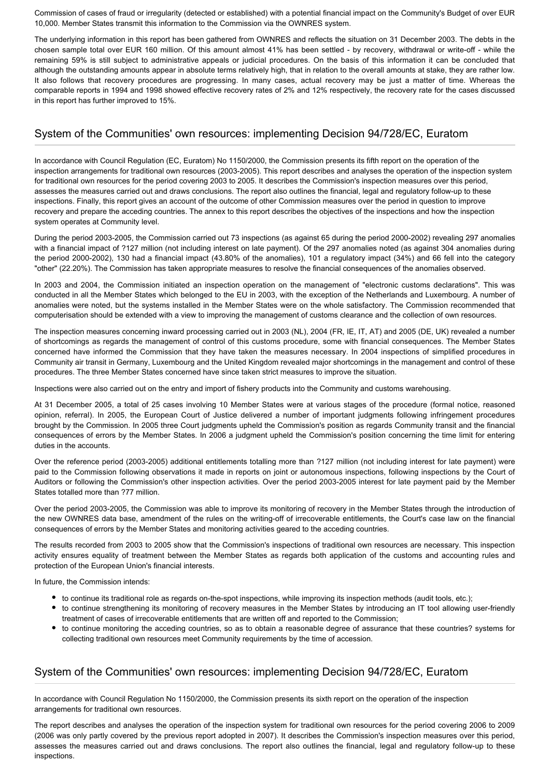Commission of cases of fraud or irregularity (detected or established) with a potential financial impact on the Community's Budget of over EUR 10,000. Member States transmit this information to the Commission via the OWNRES system.

The underlying information in this report has been gathered from OWNRES and reflects the situation on 31 December 2003. The debts in the chosen sample total over EUR 160 million. Of this amount almost 41% has been settled - by recovery, withdrawal or write-off - while the remaining 59% is still subject to administrative appeals or judicial procedures. On the basis of this information it can be concluded that although the outstanding amounts appear in absolute terms relatively high, that in relation to the overall amounts at stake, they are rather low. It also follows that recovery procedures are progressing. In many cases, actual recovery may be just a matter of time. Whereas the comparable reports in 1994 and 1998 showed effective recovery rates of 2% and 12% respectively, the recovery rate for the cases discussed in this report has further improved to 15%.

#### System of the Communities' own resources: implementing Decision 94/728/EC, Euratom

In accordance with Council Regulation (EC, Euratom) No 1150/2000, the Commission presents its fifth report on the operation of the inspection arrangements for traditional own resources (2003-2005). This report describes and analyses the operation of the inspection system for traditional own resources for the period covering 2003 to 2005. It describes the Commission's inspection measures over this period, assesses the measures carried out and draws conclusions. The report also outlines the financial, legal and regulatory follow-up to these inspections. Finally, this report gives an account of the outcome of other Commission measures over the period in question to improve recovery and prepare the acceding countries. The annex to this report describes the objectives of the inspections and how the inspection system operates at Community level.

During the period 2003-2005, the Commission carried out 73 inspections (as against 65 during the period 2000-2002) revealing 297 anomalies with a financial impact of ?127 million (not including interest on late payment). Of the 297 anomalies noted (as against 304 anomalies during the period 2000-2002), 130 had a financial impact (43.80% of the anomalies), 101 a regulatory impact (34%) and 66 fell into the category "other" (22.20%). The Commission has taken appropriate measures to resolve the financial consequences of the anomalies observed.

In 2003 and 2004, the Commission initiated an inspection operation on the management of "electronic customs declarations". This was conducted in all the Member States which belonged to the EU in 2003, with the exception of the Netherlands and Luxembourg. A number of anomalies were noted, but the systems installed in the Member States were on the whole satisfactory. The Commission recommended that computerisation should be extended with a view to improving the management of customs clearance and the collection of own resources.

The inspection measures concerning inward processing carried out in 2003 (NL), 2004 (FR, IE, IT, AT) and 2005 (DE, UK) revealed a number of shortcomings as regards the management of control of this customs procedure, some with financial consequences. The Member States concerned have informed the Commission that they have taken the measures necessary. In 2004 inspections of simplified procedures in Community air transit in Germany, Luxembourg and the United Kingdom revealed major shortcomings in the management and control of these procedures. The three Member States concerned have since taken strict measures to improve the situation.

Inspections were also carried out on the entry and import of fishery products into the Community and customs warehousing.

At 31 December 2005, a total of 25 cases involving 10 Member States were at various stages of the procedure (formal notice, reasoned opinion, referral). In 2005, the European Court of Justice delivered a number of important judgments following infringement procedures brought by the Commission. In 2005 three Court judgments upheld the Commission's position as regards Community transit and the financial consequences of errors by the Member States. In 2006 a judgment upheld the Commission's position concerning the time limit for entering duties in the accounts.

Over the reference period (2003-2005) additional entitlements totalling more than ?127 million (not including interest for late payment) were paid to the Commission following observations it made in reports on joint or autonomous inspections, following inspections by the Court of Auditors or following the Commission's other inspection activities. Over the period 2003-2005 interest for late payment paid by the Member States totalled more than ?77 million.

Over the period 2003-2005, the Commission was able to improve its monitoring of recovery in the Member States through the introduction of the new OWNRES data base, amendment of the rules on the writing-off of irrecoverable entitlements, the Court's case law on the financial consequences of errors by the Member States and monitoring activities geared to the acceding countries.

The results recorded from 2003 to 2005 show that the Commission's inspections of traditional own resources are necessary. This inspection activity ensures equality of treatment between the Member States as regards both application of the customs and accounting rules and protection of the European Union's financial interests.

In future, the Commission intends:

- to continue its traditional role as regards on-the-spot inspections, while improving its inspection methods (audit tools, etc.);
- to continue strengthening its monitoring of recovery measures in the Member States by introducing an IT tool allowing user-friendly treatment of cases of irrecoverable entitlements that are written off and reported to the Commission;
- to continue monitoring the acceding countries, so as to obtain a reasonable degree of assurance that these countries? systems for collecting traditional own resources meet Community requirements by the time of accession.

#### System of the Communities' own resources: implementing Decision 94/728/EC, Euratom

In accordance with Council Regulation No 1150/2000, the Commission presents its sixth report on the operation of the inspection arrangements for traditional own resources.

The report describes and analyses the operation of the inspection system for traditional own resources for the period covering 2006 to 2009 (2006 was only partly covered by the previous report adopted in 2007). It describes the Commission's inspection measures over this period, assesses the measures carried out and draws conclusions. The report also outlines the financial, legal and regulatory follow-up to these inspections.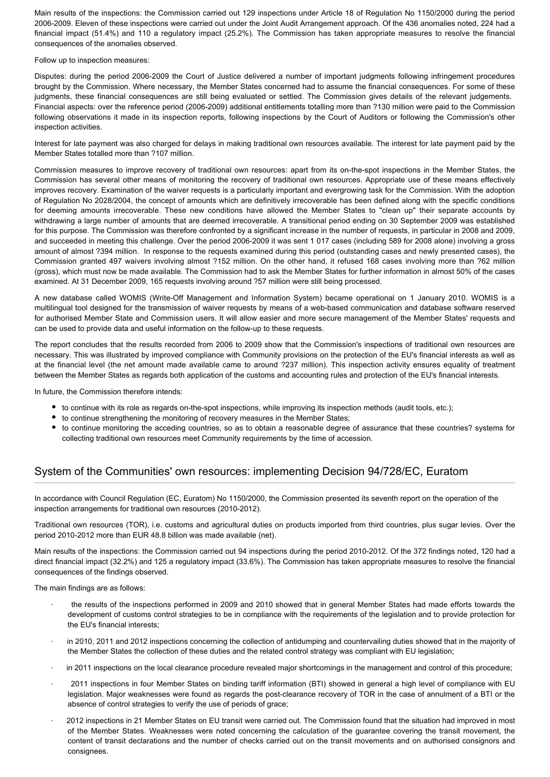Main results of the inspections: the Commission carried out 129 inspections under Article 18 of Regulation No 1150/2000 during the period 2006-2009. Eleven of these inspections were carried out under the Joint Audit Arrangement approach. Of the 436 anomalies noted, 224 had a financial impact (51.4%) and 110 a regulatory impact (25.2%). The Commission has taken appropriate measures to resolve the financial consequences of the anomalies observed.

Follow up to inspection measures:

Disputes: during the period 2006-2009 the Court of Justice delivered a number of important judgments following infringement procedures brought by the Commission. Where necessary, the Member States concerned had to assume the financial consequences. For some of these judgments, these financial consequences are still being evaluated or settled. The Commission gives details of the relevant judgements. Financial aspects: over the reference period (2006-2009) additional entitlements totalling more than ?130 million were paid to the Commission following observations it made in its inspection reports, following inspections by the Court of Auditors or following the Commission's other inspection activities.

Interest for late payment was also charged for delays in making traditional own resources available. The interest for late payment paid by the Member States totalled more than ?107 million.

Commission measures to improve recovery of traditional own resources: apart from its on-the-spot inspections in the Member States, the Commission has several other means of monitoring the recovery of traditional own resources. Appropriate use of these means effectively improves recovery. Examination of the waiver requests is a particularly important and evergrowing task for the Commission. With the adoption of Regulation No 2028/2004, the concept of amounts which are definitively irrecoverable has been defined along with the specific conditions for deeming amounts irrecoverable. These new conditions have allowed the Member States to "clean up" their separate accounts by withdrawing a large number of amounts that are deemed irrecoverable. A transitional period ending on 30 September 2009 was established for this purpose. The Commission was therefore confronted by a significant increase in the number of requests, in particular in 2008 and 2009, and succeeded in meeting this challenge. Over the period 2006-2009 it was sent 1 017 cases (including 589 for 2008 alone) involving a gross amount of almost ?394 million. In response to the requests examined during this period (outstanding cases and newly presented cases), the Commission granted 497 waivers involving almost ?152 million. On the other hand, it refused 168 cases involving more than ?62 million (gross), which must now be made available. The Commission had to ask the Member States for further information in almost 50% of the cases examined. At 31 December 2009, 165 requests involving around ?57 million were still being processed.

A new database called WOMIS (Write-Off Management and Information System) became operational on 1 January 2010. WOMIS is a multilingual tool designed for the transmission of waiver requests by means of a web-based communication and database software reserved for authorised Member State and Commission users. It will allow easier and more secure management of the Member States' requests and can be used to provide data and useful information on the follow-up to these requests.

The report concludes that the results recorded from 2006 to 2009 show that the Commission's inspections of traditional own resources are necessary. This was illustrated by improved compliance with Community provisions on the protection of the EU's financial interests as well as at the financial level (the net amount made available came to around ?237 million). This inspection activity ensures equality of treatment between the Member States as regards both application of the customs and accounting rules and protection of the EU's financial interests.

In future, the Commission therefore intends:

- to continue with its role as regards on-the-spot inspections, while improving its inspection methods (audit tools, etc.);
- to continue strengthening the monitoring of recovery measures in the Member States;
- to continue monitoring the acceding countries, so as to obtain a reasonable degree of assurance that these countries? systems for collecting traditional own resources meet Community requirements by the time of accession.

#### System of the Communities' own resources: implementing Decision 94/728/EC, Euratom

In accordance with Council Regulation (EC, Euratom) No 1150/2000, the Commission presented its seventh report on the operation of the inspection arrangements for traditional own resources (2010-2012).

Traditional own resources (TOR), i.e. customs and agricultural duties on products imported from third countries, plus sugar levies. Over the period 2010-2012 more than EUR 48.8 billion was made available (net).

Main results of the inspections: the Commission carried out 94 inspections during the period 2010-2012. Of the 372 findings noted, 120 had a direct financial impact (32.2%) and 125 a regulatory impact (33.6%). The Commission has taken appropriate measures to resolve the financial consequences of the findings observed.

The main findings are as follows:

- the results of the inspections performed in 2009 and 2010 showed that in general Member States had made efforts towards the development of customs control strategies to be in compliance with the requirements of the legislation and to provide protection for the EU's financial interests;
- in 2010, 2011 and 2012 inspections concerning the collection of antidumping and countervailing duties showed that in the majority of the Member States the collection of these duties and the related control strategy was compliant with EU legislation;
- in 2011 inspections on the local clearance procedure revealed major shortcomings in the management and control of this procedure;
- · 2011 inspections in four Member States on binding tariff information (BTI) showed in general a high level of compliance with EU legislation. Major weaknesses were found as regards the post-clearance recovery of TOR in the case of annulment of a BTI or the absence of control strategies to verify the use of periods of grace;
- · 2012 inspections in 21 Member States on EU transit were carried out. The Commission found that the situation had improved in most of the Member States. Weaknesses were noted concerning the calculation of the guarantee covering the transit movement, the content of transit declarations and the number of checks carried out on the transit movements and on authorised consignors and consignees.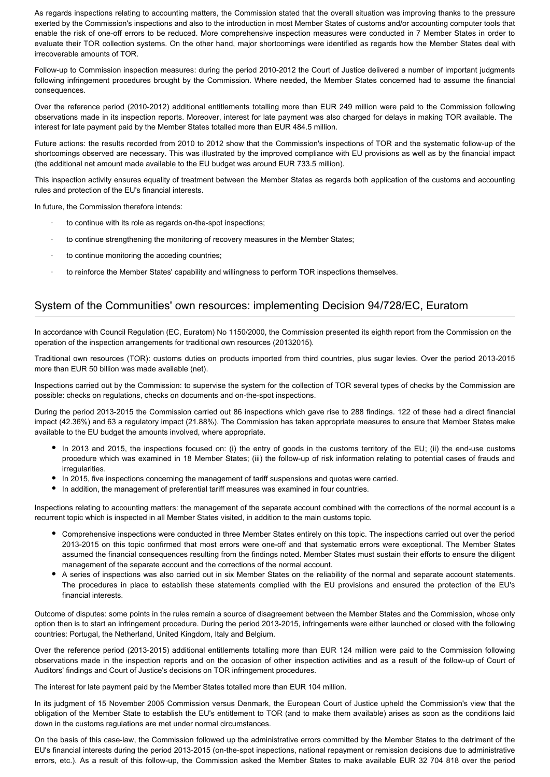As regards inspections relating to accounting matters, the Commission stated that the overall situation was improving thanks to the pressure exerted by the Commission's inspections and also to the introduction in most Member States of customs and/or accounting computer tools that enable the risk of one-off errors to be reduced. More comprehensive inspection measures were conducted in 7 Member States in order to evaluate their TOR collection systems. On the other hand, major shortcomings were identified as regards how the Member States deal with irrecoverable amounts of TOR.

Follow-up to Commission inspection measures: during the period 2010-2012 the Court of Justice delivered a number of important judgments following infringement procedures brought by the Commission. Where needed, the Member States concerned had to assume the financial consequences.

Over the reference period (2010-2012) additional entitlements totalling more than EUR 249 million were paid to the Commission following observations made in its inspection reports. Moreover, interest for late payment was also charged for delays in making TOR available. The interest for late payment paid by the Member States totalled more than EUR 484.5 million.

Future actions: the results recorded from 2010 to 2012 show that the Commission's inspections of TOR and the systematic follow-up of the shortcomings observed are necessary. This was illustrated by the improved compliance with EU provisions as well as by the financial impact (the additional net amount made available to the EU budget was around EUR 733.5 million).

This inspection activity ensures equality of treatment between the Member States as regards both application of the customs and accounting rules and protection of the EU's financial interests.

In future, the Commission therefore intends:

- to continue with its role as regards on-the-spot inspections:
- to continue strengthening the monitoring of recovery measures in the Member States;
- to continue monitoring the acceding countries;
- to reinforce the Member States' capability and willingness to perform TOR inspections themselves.

#### System of the Communities' own resources: implementing Decision 94/728/EC, Euratom

In accordance with Council Regulation (EC, Euratom) No 1150/2000, the Commission presented its eighth report from the Commission on the operation of the inspection arrangements for traditional own resources (20132015).

Traditional own resources (TOR): customs duties on products imported from third countries, plus sugar levies. Over the period 2013-2015 more than EUR 50 billion was made available (net).

Inspections carried out by the Commission: to supervise the system for the collection of TOR several types of checks by the Commission are possible: checks on regulations, checks on documents and on-the-spot inspections.

During the period 2013-2015 the Commission carried out 86 inspections which gave rise to 288 findings. 122 of these had a direct financial impact (42.36%) and 63 a regulatory impact (21.88%). The Commission has taken appropriate measures to ensure that Member States make available to the EU budget the amounts involved, where appropriate.

- In 2013 and 2015, the inspections focused on: (i) the entry of goods in the customs territory of the EU; (ii) the end-use customs procedure which was examined in 18 Member States; (iii) the follow-up of risk information relating to potential cases of frauds and irregularities.
- In 2015, five inspections concerning the management of tariff suspensions and quotas were carried.
- In addition, the management of preferential tariff measures was examined in four countries.

Inspections relating to accounting matters: the management of the separate account combined with the corrections of the normal account is a recurrent topic which is inspected in all Member States visited, in addition to the main customs topic.

- Comprehensive inspections were conducted in three Member States entirely on this topic. The inspections carried out over the period 2013-2015 on this topic confirmed that most errors were one-off and that systematic errors were exceptional. The Member States assumed the financial consequences resulting from the findings noted. Member States must sustain their efforts to ensure the diligent management of the separate account and the corrections of the normal account.
- A series of inspections was also carried out in six Member States on the reliability of the normal and separate account statements. The procedures in place to establish these statements complied with the EU provisions and ensured the protection of the EU's financial interests.

Outcome of disputes: some points in the rules remain a source of disagreement between the Member States and the Commission, whose only option then is to start an infringement procedure. During the period 2013-2015, infringements were either launched or closed with the following countries: Portugal, the Netherland, United Kingdom, Italy and Belgium.

Over the reference period (2013-2015) additional entitlements totalling more than EUR 124 million were paid to the Commission following observations made in the inspection reports and on the occasion of other inspection activities and as a result of the follow-up of Court of Auditors' findings and Court of Justice's decisions on TOR infringement procedures.

The interest for late payment paid by the Member States totalled more than EUR 104 million.

In its judgment of 15 November 2005 Commission versus Denmark, the European Court of Justice upheld the Commission's view that the obligation of the Member State to establish the EU's entitlement to TOR (and to make them available) arises as soon as the conditions laid down in the customs regulations are met under normal circumstances.

On the basis of this case-law, the Commission followed up the administrative errors committed by the Member States to the detriment of the EU's financial interests during the period 2013-2015 (on-the-spot inspections, national repayment or remission decisions due to administrative errors, etc.). As a result of this follow-up, the Commission asked the Member States to make available EUR 32 704 818 over the period